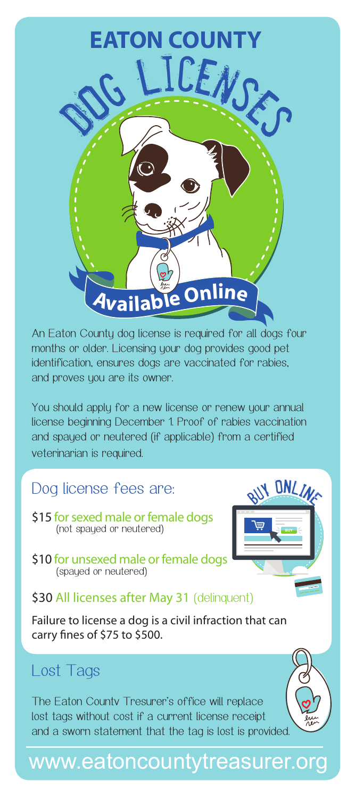

An Eaton County dog license is required for all dogs four months or older. Licensing your dog provides good pet identification, ensures dogs are vaccinated for rabies, and proves you are its owner.

You should apply for a new license or renew your annual license beginning December 1. Proof of rabies vaccination and spayed or neutered (if applicable) from a certified veterinarian is required.

### Dog license fees are:

- \$15 for sexed male or female dogs (not spayed or neutered)
- \$10 for unsexed male or female dogs (spayed or neutered)



#### \$30 All licenses after May 31 (delinquent)

Failure to license a dog is a civil infraction that can carry fines of \$75 to \$500.

## Lost Tags

The Eaton Countv Tresurer's office will replace lost tags without cost if a current license receipt and a sworn statement that the tag is lost is provided.

# www.eatoncountytreasurer.org